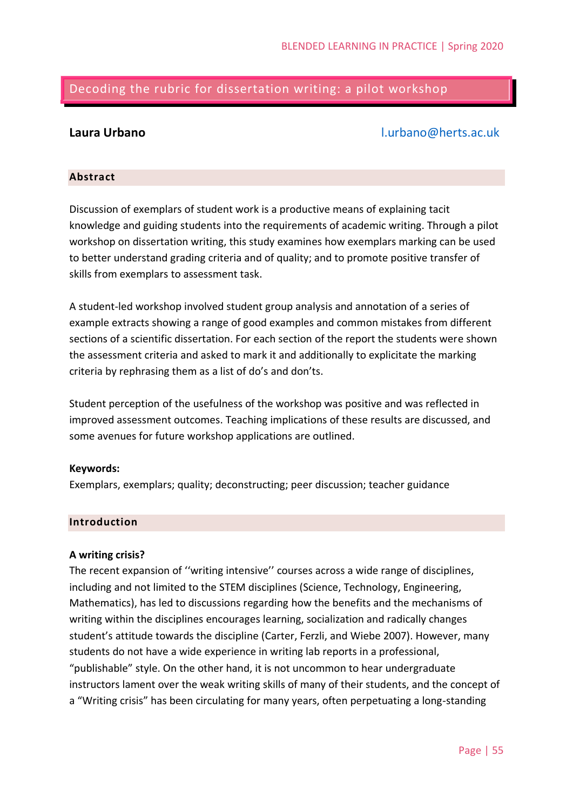# Decoding the rubric for dissertation writing: a pilot workshop

# **Laura Urbano** [l.urbano@herts.ac.uk](mailto:l.urbano@herts.ac.uk)

### **Abstract**

Discussion of exemplars of student work is a productive means of explaining tacit knowledge and guiding students into the requirements of academic writing. Through a pilot workshop on dissertation writing, this study examines how exemplars marking can be used to better understand grading criteria and of quality; and to promote positive transfer of skills from exemplars to assessment task.

A student-led workshop involved student group analysis and annotation of a series of example extracts showing a range of good examples and common mistakes from different sections of a scientific dissertation. For each section of the report the students were shown the assessment criteria and asked to mark it and additionally to explicitate the marking criteria by rephrasing them as a list of do's and don'ts.

Student perception of the usefulness of the workshop was positive and was reflected in improved assessment outcomes. Teaching implications of these results are discussed, and some avenues for future workshop applications are outlined.

### **Keywords:**

Exemplars, exemplars; quality; deconstructing; peer discussion; teacher guidance

### **Introduction**

### **A writing crisis?**

The recent expansion of ''writing intensive'' courses across a wide range of disciplines, including and not limited to the STEM disciplines (Science, Technology, Engineering, Mathematics), has led to discussions regarding how the benefits and the mechanisms of writing within the disciplines encourages learning, socialization and radically changes student's attitude towards the discipline (Carter, Ferzli, and Wiebe 2007). However, many students do not have a wide experience in writing lab reports in a professional, "publishable" style. On the other hand, it is not uncommon to hear undergraduate instructors lament over the weak writing skills of many of their students, and the concept of a "Writing crisis" has been circulating for many years, often perpetuating a long-standing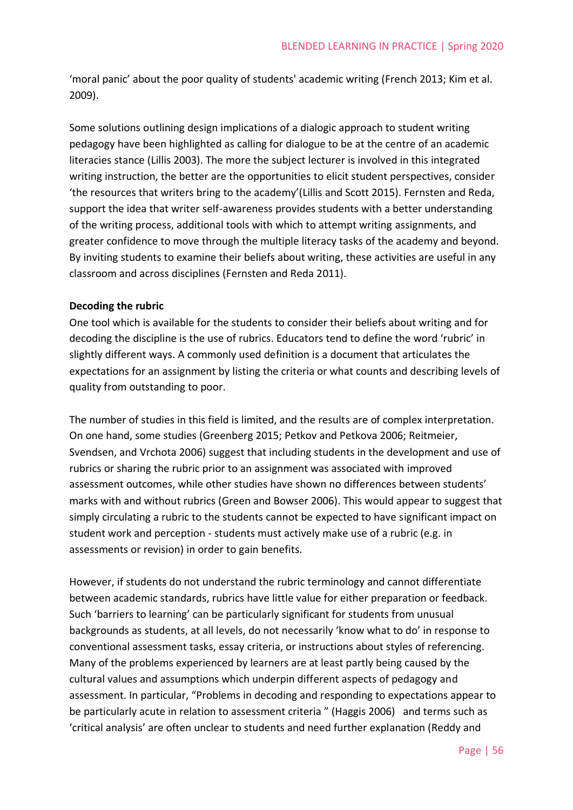'moral panic' about the poor quality of students' academic writing (French 2013; Kim et al. 2009).

Some solutions outlining design implications of a dialogic approach to student writing pedagogy have been highlighted as calling for dialogue to be at the centre of an academic literacies stance (Lillis 2003). The more the subject lecturer is involved in this integrated writing instruction, the better are the opportunities to elicit student perspectives, consider 'the resources that writers bring to the academy'(Lillis and Scott 2015). Fernsten and Reda, support the idea that writer self-awareness provides students with a better understanding of the writing process, additional tools with which to attempt writing assignments, and greater confidence to move through the multiple literacy tasks of the academy and beyond. By inviting students to examine their beliefs about writing, these activities are useful in any classroom and across disciplines (Fernsten and Reda 2011).

# **Decoding the rubric**

One tool which is available for the students to consider their beliefs about writing and for decoding the discipline is the use of rubrics. Educators tend to define the word 'rubric' in slightly different ways. A commonly used definition is a document that articulates the expectations for an assignment by listing the criteria or what counts and describing levels of quality from outstanding to poor.

The number of studies in this field is limited, and the results are of complex interpretation. On one hand, some studies (Greenberg 2015; Petkov and Petkova 2006; Reitmeier, Svendsen, and Vrchota 2006) suggest that including students in the development and use of rubrics or sharing the rubric prior to an assignment was associated with improved assessment outcomes, while other studies have shown no differences between students' marks with and without rubrics (Green and Bowser 2006). This would appear to suggest that simply circulating a rubric to the students cannot be expected to have significant impact on student work and perception - students must actively make use of a rubric (e.g. in assessments or revision) in order to gain benefits.

However, if students do not understand the rubric terminology and cannot differentiate between academic standards, rubrics have little value for either preparation or feedback. Such 'barriers to learning' can be particularly significant for students from unusual backgrounds as students, at all levels, do not necessarily 'know what to do' in response to conventional assessment tasks, essay criteria, or instructions about styles of referencing. Many of the problems experienced by learners are at least partly being caused by the cultural values and assumptions which underpin different aspects of pedagogy and assessment. In particular, "Problems in decoding and responding to expectations appear to be particularly acute in relation to assessment criteria " (Haggis 2006) and terms such as 'critical analysis' are often unclear to students and need further explanation (Reddy and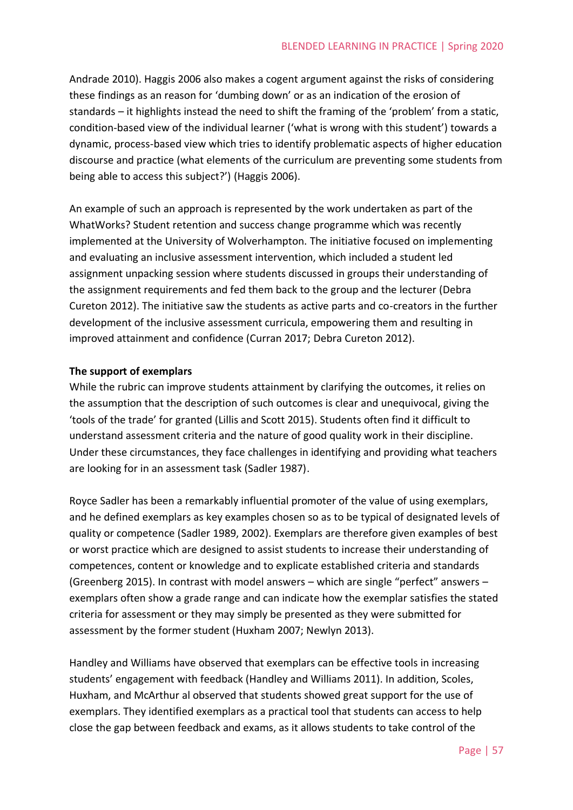Andrade 2010). Haggis 2006 also makes a cogent argument against the risks of considering these findings as an reason for 'dumbing down' or as an indication of the erosion of standards – it highlights instead the need to shift the framing of the 'problem' from a static, condition‐based view of the individual learner ('what is wrong with this student') towards a dynamic, process‐based view which tries to identify problematic aspects of higher education discourse and practice (what elements of the curriculum are preventing some students from being able to access this subject?') (Haggis 2006).

An example of such an approach is represented by the work undertaken as part of the WhatWorks? Student retention and success change programme which was recently implemented at the University of Wolverhampton. The initiative focused on implementing and evaluating an inclusive assessment intervention, which included a student led assignment unpacking session where students discussed in groups their understanding of the assignment requirements and fed them back to the group and the lecturer (Debra Cureton 2012). The initiative saw the students as active parts and co-creators in the further development of the inclusive assessment curricula, empowering them and resulting in improved attainment and confidence (Curran 2017; Debra Cureton 2012).

# **The support of exemplars**

While the rubric can improve students attainment by clarifying the outcomes, it relies on the assumption that the description of such outcomes is clear and unequivocal, giving the 'tools of the trade' for granted (Lillis and Scott 2015). Students often find it difficult to understand assessment criteria and the nature of good quality work in their discipline. Under these circumstances, they face challenges in identifying and providing what teachers are looking for in an assessment task (Sadler 1987).

Royce Sadler has been a remarkably influential promoter of the value of using exemplars, and he defined exemplars as key examples chosen so as to be typical of designated levels of quality or competence (Sadler 1989, 2002). Exemplars are therefore given examples of best or worst practice which are designed to assist students to increase their understanding of competences, content or knowledge and to explicate established criteria and standards (Greenberg 2015). In contrast with model answers – which are single "perfect" answers – exemplars often show a grade range and can indicate how the exemplar satisfies the stated criteria for assessment or they may simply be presented as they were submitted for assessment by the former student (Huxham 2007; Newlyn 2013).

Handley and Williams have observed that exemplars can be effective tools in increasing students' engagement with feedback (Handley and Williams 2011). In addition, Scoles, Huxham, and McArthur al observed that students showed great support for the use of exemplars. They identified exemplars as a practical tool that students can access to help close the gap between feedback and exams, as it allows students to take control of the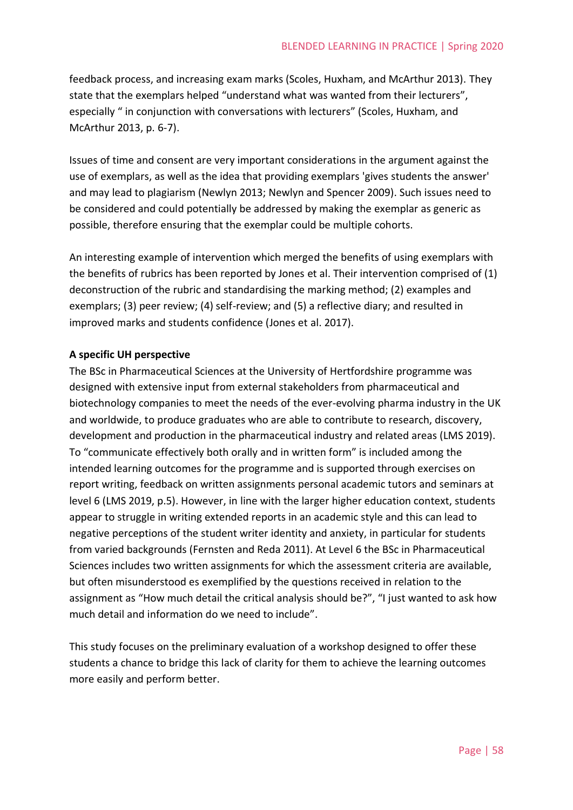feedback process, and increasing exam marks (Scoles, Huxham, and McArthur 2013). They state that the exemplars helped "understand what was wanted from their lecturers", especially " in conjunction with conversations with lecturers" (Scoles, Huxham, and McArthur 2013, p. 6-7).

Issues of time and consent are very important considerations in the argument against the use of exemplars, as well as the idea that providing exemplars 'gives students the answer' and may lead to plagiarism (Newlyn 2013; Newlyn and Spencer 2009). Such issues need to be considered and could potentially be addressed by making the exemplar as generic as possible, therefore ensuring that the exemplar could be multiple cohorts.

An interesting example of intervention which merged the benefits of using exemplars with the benefits of rubrics has been reported by Jones et al. Their intervention comprised of (1) deconstruction of the rubric and standardising the marking method; (2) examples and exemplars; (3) peer review; (4) self-review; and (5) a reflective diary; and resulted in improved marks and students confidence (Jones et al. 2017).

# **A specific UH perspective**

The BSc in Pharmaceutical Sciences at the University of Hertfordshire programme was designed with extensive input from external stakeholders from pharmaceutical and biotechnology companies to meet the needs of the ever-evolving pharma industry in the UK and worldwide, to produce graduates who are able to contribute to research, discovery, development and production in the pharmaceutical industry and related areas (LMS 2019). To "communicate effectively both orally and in written form" is included among the intended learning outcomes for the programme and is supported through exercises on report writing, feedback on written assignments personal academic tutors and seminars at level 6 (LMS 2019, p.5). However, in line with the larger higher education context, students appear to struggle in writing extended reports in an academic style and this can lead to negative perceptions of the student writer identity and anxiety, in particular for students from varied backgrounds (Fernsten and Reda 2011). At Level 6 the BSc in Pharmaceutical Sciences includes two written assignments for which the assessment criteria are available, but often misunderstood es exemplified by the questions received in relation to the assignment as "How much detail the critical analysis should be?", "I just wanted to ask how much detail and information do we need to include".

This study focuses on the preliminary evaluation of a workshop designed to offer these students a chance to bridge this lack of clarity for them to achieve the learning outcomes more easily and perform better.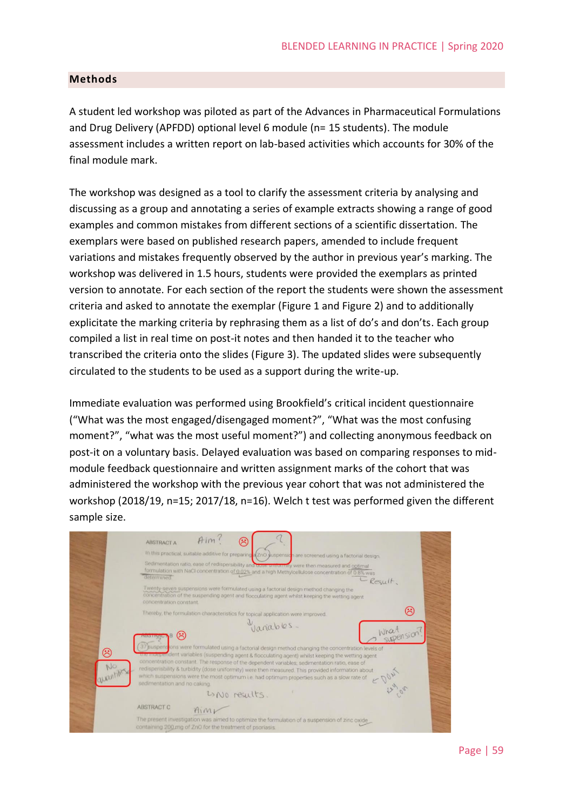### **Methods**

A student led workshop was piloted as part of the Advances in Pharmaceutical Formulations and Drug Delivery (APFDD) optional level 6 module (n= 15 students). The module assessment includes a written report on lab-based activities which accounts for 30% of the final module mark.

The workshop was designed as a tool to clarify the assessment criteria by analysing and discussing as a group and annotating a series of example extracts showing a range of good examples and common mistakes from different sections of a scientific dissertation. The exemplars were based on published research papers, amended to include frequent variations and mistakes frequently observed by the author in previous year's marking. The workshop was delivered in 1.5 hours, students were provided the exemplars as printed version to annotate. For each section of the report the students were shown the assessment criteria and asked to annotate the exemplar [\(Figure 1](#page-5-0) and [Figure 2\)](#page-5-1) and to additionally explicitate the marking criteria by rephrasing them as a list of do's and don'ts. Each group compiled a list in real time on post-it notes and then handed it to the teacher who transcribed the criteria onto the slides [\(Figure 3\)](#page-5-2). The updated slides were subsequently circulated to the students to be used as a support during the write-up.

Immediate evaluation was performed using Brookfield's critical incident questionnaire ("What was the most engaged/disengaged moment?", "What was the most confusing moment?", "what was the most useful moment?") and collecting anonymous feedback on post-it on a voluntary basis. Delayed evaluation was based on comparing responses to midmodule feedback questionnaire and written assignment marks of the cohort that was administered the workshop with the previous year cohort that was not administered the workshop (2018/19, n=15; 2017/18, n=16). Welch t test was performed given the different sample size.

|                                                                                                                                                                                                                                                                                                                                                                                                                                                                                                                                                                         | $Aim$ ?<br>હ<br><b>ABSTRACT A</b>                                                                                                                                                                                              |  |  |
|-------------------------------------------------------------------------------------------------------------------------------------------------------------------------------------------------------------------------------------------------------------------------------------------------------------------------------------------------------------------------------------------------------------------------------------------------------------------------------------------------------------------------------------------------------------------------|--------------------------------------------------------------------------------------------------------------------------------------------------------------------------------------------------------------------------------|--|--|
|                                                                                                                                                                                                                                                                                                                                                                                                                                                                                                                                                                         | In this practical, suitable additive for preparing (2n0 suspension are screened using a factorial design.                                                                                                                      |  |  |
|                                                                                                                                                                                                                                                                                                                                                                                                                                                                                                                                                                         | Sedimentation ratio, ease of redispersibility and bose uniformly were then measured and optimal<br>formulation with NaCl concentration of 0.02% and a high Methylcellulose concentration of 0.8% was<br>determined<br>CResult. |  |  |
|                                                                                                                                                                                                                                                                                                                                                                                                                                                                                                                                                                         | Twenty-seven suspensions were formulated using a factorial design method changing the<br>concentration of the suspending agent and flocculating agent whilst keeping the wetting agent<br>concentration constant.              |  |  |
|                                                                                                                                                                                                                                                                                                                                                                                                                                                                                                                                                                         | $(\ddot{\sim})$<br>Thereby, the formulation characteristics for topical application were improved.                                                                                                                             |  |  |
|                                                                                                                                                                                                                                                                                                                                                                                                                                                                                                                                                                         | yanables.<br>What<br>supersion?                                                                                                                                                                                                |  |  |
| 37 Buspensions were formulated using a factorial design method changing the concentration levels of<br>☺<br>the independent variables (suspending agent & flocculating agent) whilst keeping the wetting agent<br>concentration constant. The response of the dependent variables, sedimentation ratio, ease of<br>No<br>redisperisbility & turbidity (dose uniformity) were then measured. This provided information about<br>quantities<br>which suspensions were the most optimum i.e. had optimum properties such as a slow rate of<br>sedimentation and no caking. |                                                                                                                                                                                                                                |  |  |
|                                                                                                                                                                                                                                                                                                                                                                                                                                                                                                                                                                         | LONO results.                                                                                                                                                                                                                  |  |  |
|                                                                                                                                                                                                                                                                                                                                                                                                                                                                                                                                                                         | <b>ABSTRACT C</b><br>$A_{1}M\nu$                                                                                                                                                                                               |  |  |
|                                                                                                                                                                                                                                                                                                                                                                                                                                                                                                                                                                         | The present investigation was aimed to optimize the formulation of a suspension of zinc oxide<br>containing 200 mg of ZnO for the treatment of psoriasis.                                                                      |  |  |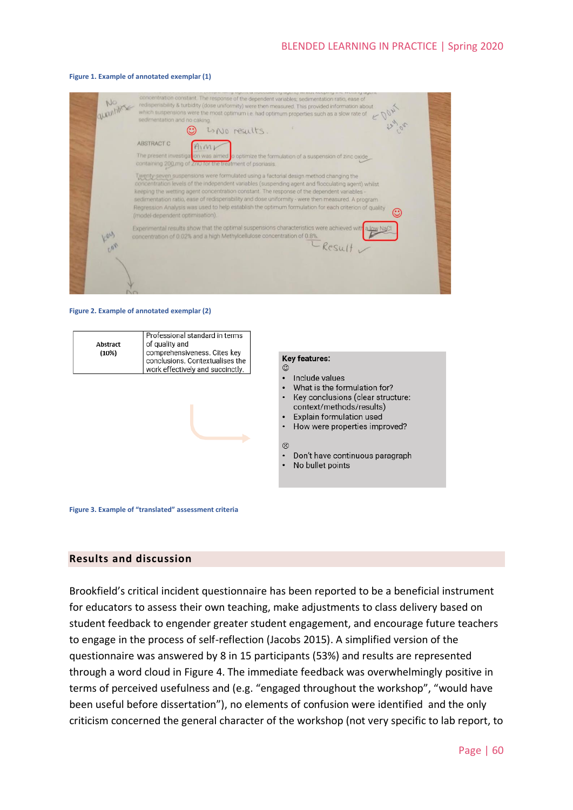

#### <span id="page-5-0"></span>**Figure 1. Example of annotated exemplar (1)**

#### <span id="page-5-1"></span>**Figure 2. Example of annotated exemplar (2)**



#### **Key features:**  $\odot$

- $\overline{a}$ Include values
- What is the formulation for? Key conclusions (clear structure:
- context/methods/results) Explain formulation used
- How were properties improved?

#### ශ

- Don't have continuous paragraph
- No bullet points

<span id="page-5-2"></span>**Figure 3. Example of "translated" assessment criteria**

#### **Results and discussion**

Brookfield's critical incident questionnaire has been reported to be a beneficial instrument for educators to assess their own teaching, make adjustments to class delivery based on student feedback to engender greater student engagement, and encourage future teachers to engage in the process of self-reflection (Jacobs 2015). A simplified version of the questionnaire was answered by 8 in 15 participants (53%) and results are represented through a word cloud in [Figure 4.](#page-6-0) The immediate feedback was overwhelmingly positive in terms of perceived usefulness and (e.g. "engaged throughout the workshop", "would have been useful before dissertation"), no elements of confusion were identified and the only criticism concerned the general character of the workshop (not very specific to lab report, to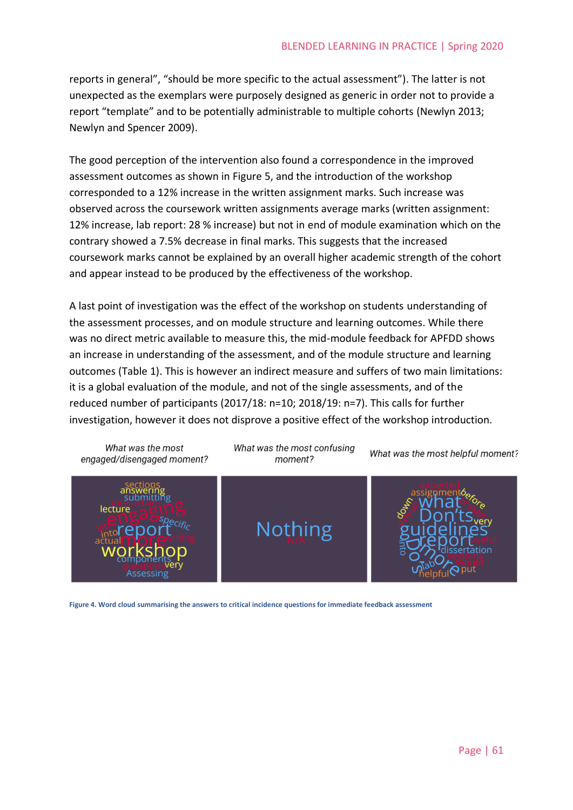reports in general", "should be more specific to the actual assessment"). The latter is not unexpected as the exemplars were purposely designed as generic in order not to provide a report "template" and to be potentially administrable to multiple cohorts (Newlyn 2013; Newlyn and Spencer 2009).

The good perception of the intervention also found a correspondence in the improved assessment outcomes as shown in [Figure 5,](#page-7-0) and the introduction of the workshop corresponded to a 12% increase in the written assignment marks. Such increase was observed across the coursework written assignments average marks (written assignment: 12% increase, lab report: 28 % increase) but not in end of module examination which on the contrary showed a 7.5% decrease in final marks. This suggests that the increased coursework marks cannot be explained by an overall higher academic strength of the cohort and appear instead to be produced by the effectiveness of the workshop.

A last point of investigation was the effect of the workshop on students understanding of the assessment processes, and on module structure and learning outcomes. While there was no direct metric available to measure this, the mid-module feedback for APFDD shows an increase in understanding of the assessment, and of the module structure and learning outcomes [\(Table 1\)](#page-7-1). This is however an indirect measure and suffers of two main limitations: it is a global evaluation of the module, and not of the single assessments, and of the reduced number of participants (2017/18: n=10; 2018/19: n=7). This calls for further investigation, however it does not disprove a positive effect of the workshop introduction.



<span id="page-6-0"></span>**Figure 4. Word cloud summarising the answers to critical incidence questions for immediate feedback assessment**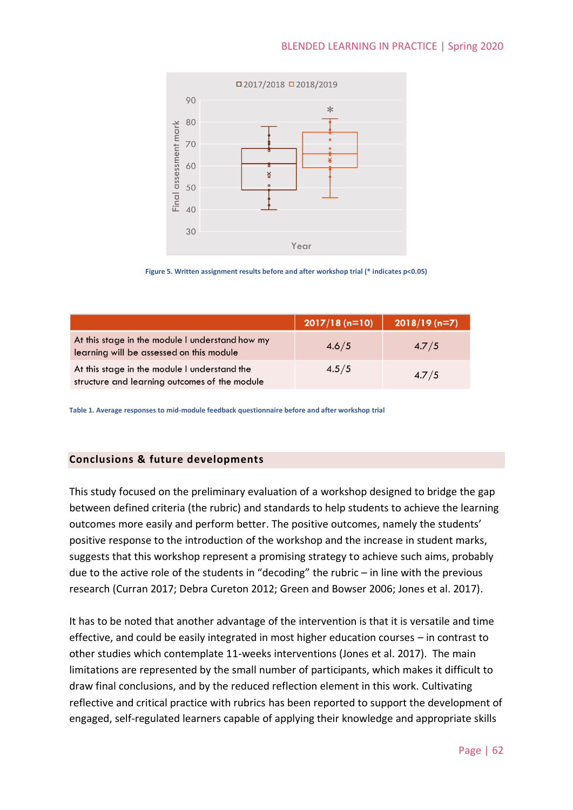



<span id="page-7-0"></span>

|                                                                                               | $2017/18(n=10)$ | $2018/19$ (n=7) |
|-----------------------------------------------------------------------------------------------|-----------------|-----------------|
| At this stage in the module I understand how my<br>learning will be assessed on this module   | 4.6/5           | 4.7/5           |
| At this stage in the module I understand the<br>structure and learning outcomes of the module | 4.5/5           | 4.7/5           |

<span id="page-7-1"></span>**Table 1. Average responses to mid-module feedback questionnaire before and after workshop trial**

### **Conclusions & future developments**

This study focused on the preliminary evaluation of a workshop designed to bridge the gap between defined criteria (the rubric) and standards to help students to achieve the learning outcomes more easily and perform better. The positive outcomes, namely the students' positive response to the introduction of the workshop and the increase in student marks, suggests that this workshop represent a promising strategy to achieve such aims, probably due to the active role of the students in "decoding" the rubric – in line with the previous research (Curran 2017; Debra Cureton 2012; Green and Bowser 2006; Jones et al. 2017).

It has to be noted that another advantage of the intervention is that it is versatile and time effective, and could be easily integrated in most higher education courses – in contrast to other studies which contemplate 11-weeks interventions (Jones et al. 2017). The main limitations are represented by the small number of participants, which makes it difficult to draw final conclusions, and by the reduced reflection element in this work. Cultivating reflective and critical practice with rubrics has been reported to support the development of engaged, self-regulated learners capable of applying their knowledge and appropriate skills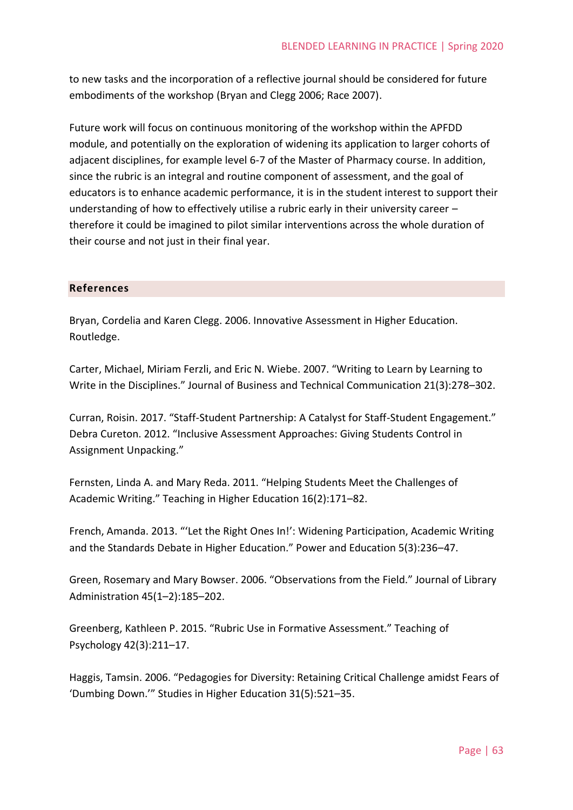to new tasks and the incorporation of a reflective journal should be considered for future embodiments of the workshop (Bryan and Clegg 2006; Race 2007).

Future work will focus on continuous monitoring of the workshop within the APFDD module, and potentially on the exploration of widening its application to larger cohorts of adjacent disciplines, for example level 6-7 of the Master of Pharmacy course. In addition, since the rubric is an integral and routine component of assessment, and the goal of educators is to enhance academic performance, it is in the student interest to support their understanding of how to effectively utilise a rubric early in their university career – therefore it could be imagined to pilot similar interventions across the whole duration of their course and not just in their final year.

# **References**

Bryan, Cordelia and Karen Clegg. 2006. Innovative Assessment in Higher Education. Routledge.

Carter, Michael, Miriam Ferzli, and Eric N. Wiebe. 2007. "Writing to Learn by Learning to Write in the Disciplines." Journal of Business and Technical Communication 21(3):278–302.

Curran, Roisin. 2017. "Staff-Student Partnership: A Catalyst for Staff-Student Engagement." Debra Cureton. 2012. "Inclusive Assessment Approaches: Giving Students Control in Assignment Unpacking."

Fernsten, Linda A. and Mary Reda. 2011. "Helping Students Meet the Challenges of Academic Writing." Teaching in Higher Education 16(2):171–82.

French, Amanda. 2013. "'Let the Right Ones In!': Widening Participation, Academic Writing and the Standards Debate in Higher Education." Power and Education 5(3):236–47.

Green, Rosemary and Mary Bowser. 2006. "Observations from the Field." Journal of Library Administration 45(1–2):185–202.

Greenberg, Kathleen P. 2015. "Rubric Use in Formative Assessment." Teaching of Psychology 42(3):211–17.

Haggis, Tamsin. 2006. "Pedagogies for Diversity: Retaining Critical Challenge amidst Fears of 'Dumbing Down.'" Studies in Higher Education 31(5):521–35.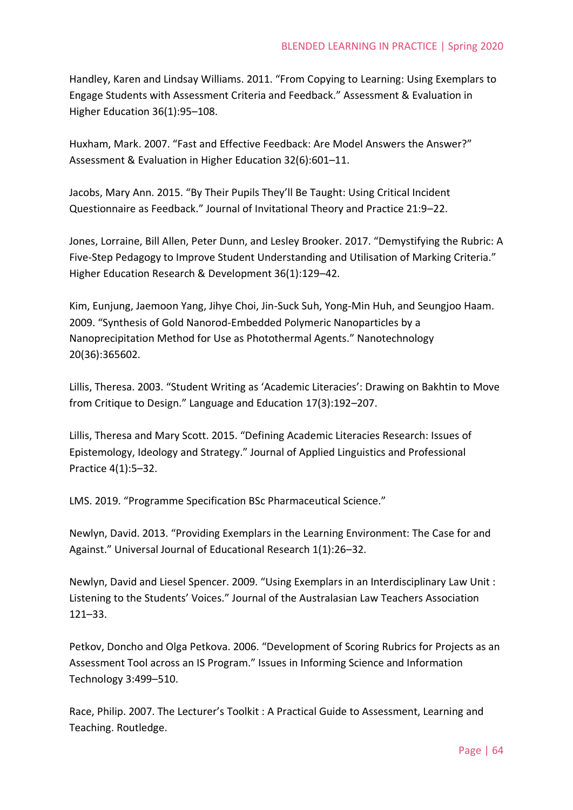Handley, Karen and Lindsay Williams. 2011. "From Copying to Learning: Using Exemplars to Engage Students with Assessment Criteria and Feedback." Assessment & Evaluation in Higher Education 36(1):95-108.

Huxham, Mark. 2007. "Fast and Effective Feedback: Are Model Answers the Answer?" Assessment & Evaluation in Higher Education 32(6):601–11.

Jacobs, Mary Ann. 2015. "By Their Pupils They'll Be Taught: Using Critical Incident Questionnaire as Feedback." Journal of Invitational Theory and Practice 21:9–22.

Jones, Lorraine, Bill Allen, Peter Dunn, and Lesley Brooker. 2017. "Demystifying the Rubric: A Five-Step Pedagogy to Improve Student Understanding and Utilisation of Marking Criteria." Higher Education Research & Development 36(1):129–42.

Kim, Eunjung, Jaemoon Yang, Jihye Choi, Jin-Suck Suh, Yong-Min Huh, and Seungjoo Haam. 2009. "Synthesis of Gold Nanorod-Embedded Polymeric Nanoparticles by a Nanoprecipitation Method for Use as Photothermal Agents." Nanotechnology 20(36):365602.

Lillis, Theresa. 2003. "Student Writing as 'Academic Literacies': Drawing on Bakhtin to Move from Critique to Design." Language and Education 17(3):192–207.

Lillis, Theresa and Mary Scott. 2015. "Defining Academic Literacies Research: Issues of Epistemology, Ideology and Strategy." Journal of Applied Linguistics and Professional Practice 4(1):5–32.

LMS. 2019. "Programme Specification BSc Pharmaceutical Science."

Newlyn, David. 2013. "Providing Exemplars in the Learning Environment: The Case for and Against." Universal Journal of Educational Research 1(1):26–32.

Newlyn, David and Liesel Spencer. 2009. "Using Exemplars in an Interdisciplinary Law Unit : Listening to the Students' Voices." Journal of the Australasian Law Teachers Association 121–33.

Petkov, Doncho and Olga Petkova. 2006. "Development of Scoring Rubrics for Projects as an Assessment Tool across an IS Program." Issues in Informing Science and Information Technology 3:499–510.

Race, Philip. 2007. The Lecturer's Toolkit : A Practical Guide to Assessment, Learning and Teaching. Routledge.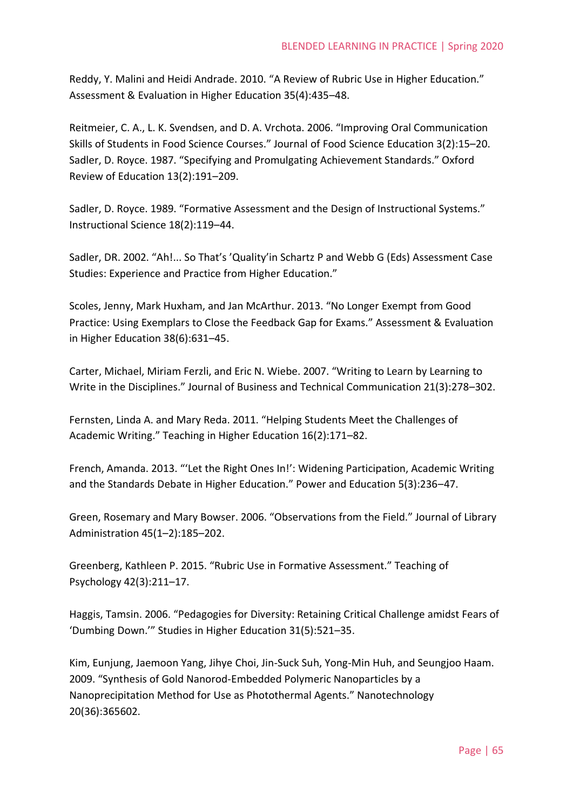Reddy, Y. Malini and Heidi Andrade. 2010. "A Review of Rubric Use in Higher Education." Assessment & Evaluation in Higher Education 35(4):435–48.

Reitmeier, C. A., L. K. Svendsen, and D. A. Vrchota. 2006. "Improving Oral Communication Skills of Students in Food Science Courses." Journal of Food Science Education 3(2):15–20. Sadler, D. Royce. 1987. "Specifying and Promulgating Achievement Standards." Oxford Review of Education 13(2):191–209.

Sadler, D. Royce. 1989. "Formative Assessment and the Design of Instructional Systems." Instructional Science 18(2):119–44.

Sadler, DR. 2002. "Ah!... So That's 'Quality'in Schartz P and Webb G (Eds) Assessment Case Studies: Experience and Practice from Higher Education."

Scoles, Jenny, Mark Huxham, and Jan McArthur. 2013. "No Longer Exempt from Good Practice: Using Exemplars to Close the Feedback Gap for Exams." Assessment & Evaluation in Higher Education 38(6):631–45.

Carter, Michael, Miriam Ferzli, and Eric N. Wiebe. 2007. "Writing to Learn by Learning to Write in the Disciplines." Journal of Business and Technical Communication 21(3):278–302.

Fernsten, Linda A. and Mary Reda. 2011. "Helping Students Meet the Challenges of Academic Writing." Teaching in Higher Education 16(2):171–82.

French, Amanda. 2013. "'Let the Right Ones In!': Widening Participation, Academic Writing and the Standards Debate in Higher Education." Power and Education 5(3):236–47.

Green, Rosemary and Mary Bowser. 2006. "Observations from the Field." Journal of Library Administration 45(1–2):185–202.

Greenberg, Kathleen P. 2015. "Rubric Use in Formative Assessment." Teaching of Psychology 42(3):211–17.

Haggis, Tamsin. 2006. "Pedagogies for Diversity: Retaining Critical Challenge amidst Fears of 'Dumbing Down.'" Studies in Higher Education 31(5):521–35.

Kim, Eunjung, Jaemoon Yang, Jihye Choi, Jin-Suck Suh, Yong-Min Huh, and Seungjoo Haam. 2009. "Synthesis of Gold Nanorod-Embedded Polymeric Nanoparticles by a Nanoprecipitation Method for Use as Photothermal Agents." Nanotechnology 20(36):365602.